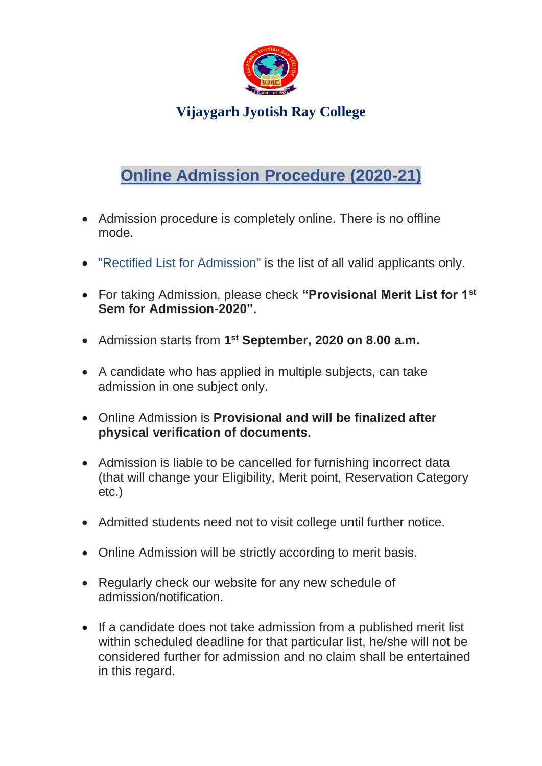

**Vijaygarh Jyotish Ray College**

# **Online Admission Procedure (2020-21)**

- Admission procedure is completely online. There is no offline mode.
- "Rectified List for Admission" is the list of all valid applicants only.
- For taking Admission, please check **"Provisional Merit List for 1st Sem for Admission-2020".**
- Admission starts from **1 st September, 2020 on 8.00 a.m.**
- A candidate who has applied in multiple subjects, can take admission in one subject only.
- Online Admission is **Provisional and will be finalized after physical verification of documents.**
- Admission is liable to be cancelled for furnishing incorrect data (that will change your Eligibility, Merit point, Reservation Category etc.)
- Admitted students need not to visit college until further notice.
- Online Admission will be strictly according to merit basis.
- Regularly check our website for any new schedule of admission/notification.
- If a candidate does not take admission from a published merit list within scheduled deadline for that particular list, he/she will not be considered further for admission and no claim shall be entertained in this regard.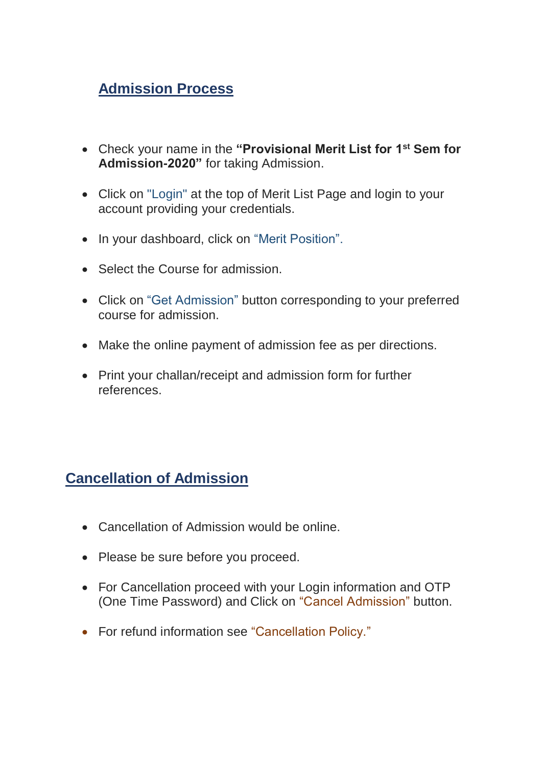## **Admission Process**

- Check your name in the **"Provisional Merit List for 1st Sem for Admission-2020"** for taking Admission.
- Click on "Login" at the top of Merit List Page and login to your account providing your credentials.
- In your dashboard, click on "Merit Position".
- Select the Course for admission.
- Click on "Get Admission" button corresponding to your preferred course for admission.
- Make the online payment of admission fee as per directions.
- Print your challan/receipt and admission form for further references.

### **Cancellation of Admission**

- Cancellation of Admission would be online.
- Please be sure before you proceed.
- For Cancellation proceed with your Login information and OTP (One Time Password) and Click on "Cancel Admission" button.
- For refund information see "Cancellation Policy."